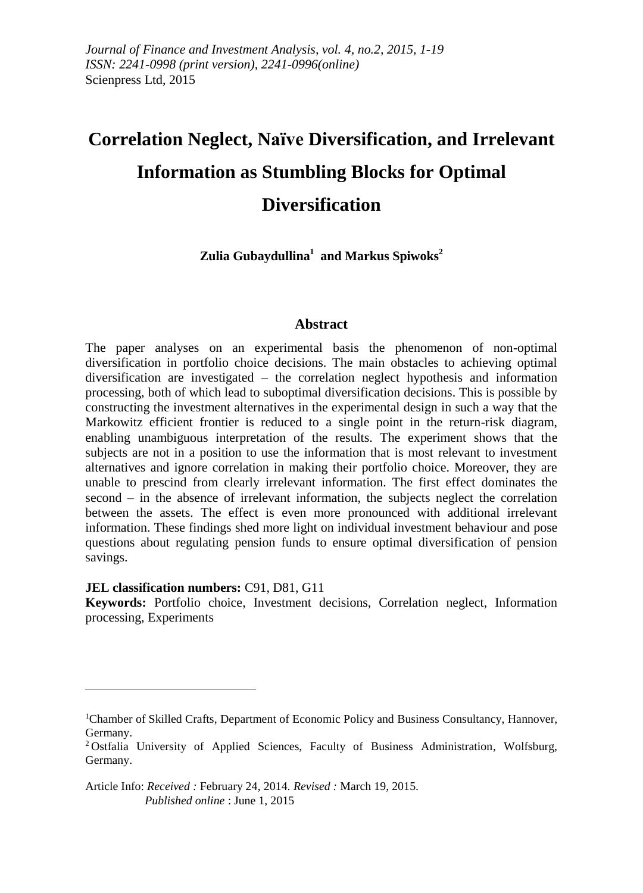# **Correlation Neglect, Naïve Diversification, and Irrelevant Information as Stumbling Blocks for Optimal Diversification**

**Zulia Gubaydullina<sup>1</sup> and Markus Spiwoks<sup>2</sup>**

#### **Abstract**

The paper analyses on an experimental basis the phenomenon of non-optimal diversification in portfolio choice decisions. The main obstacles to achieving optimal diversification are investigated – the correlation neglect hypothesis and information processing, both of which lead to suboptimal diversification decisions. This is possible by constructing the investment alternatives in the experimental design in such a way that the Markowitz efficient frontier is reduced to a single point in the return-risk diagram, enabling unambiguous interpretation of the results. The experiment shows that the subjects are not in a position to use the information that is most relevant to investment alternatives and ignore correlation in making their portfolio choice. Moreover, they are unable to prescind from clearly irrelevant information. The first effect dominates the second – in the absence of irrelevant information, the subjects neglect the correlation between the assets. The effect is even more pronounced with additional irrelevant information. These findings shed more light on individual investment behaviour and pose questions about regulating pension funds to ensure optimal diversification of pension savings.

#### **JEL classification numbers:** C91, D81, G11

1

**Keywords:** Portfolio choice, Investment decisions, Correlation neglect, Information processing, Experiments

<sup>1</sup>Chamber of Skilled Crafts, Department of Economic Policy and Business Consultancy, Hannover, Germany.

<sup>&</sup>lt;sup>2</sup> Ostfalia University of Applied Sciences, Faculty of Business Administration, Wolfsburg, Germany.

Article Info: *Received :* February 24, 2014*. Revised :* March 19, 2015.  *Published online* : June 1, 2015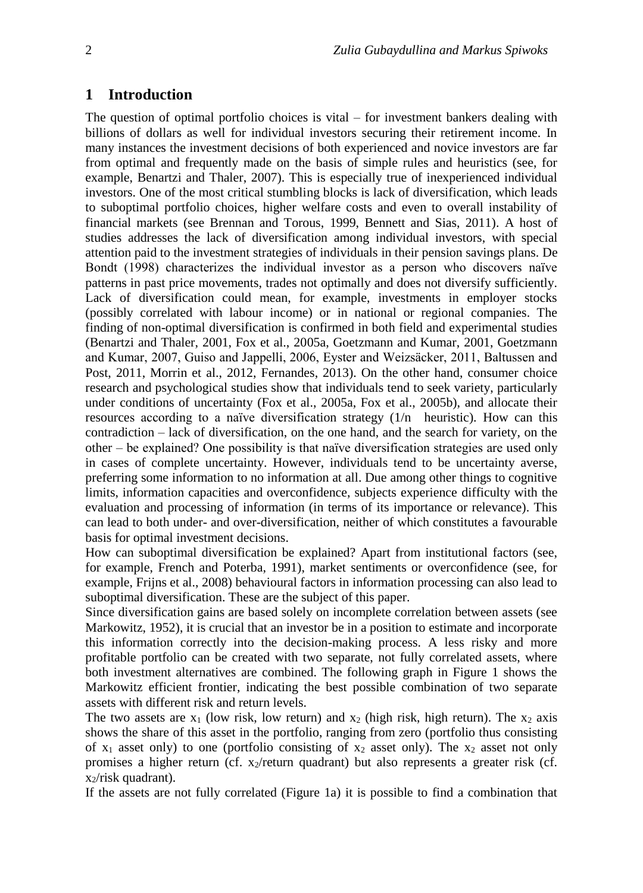#### **1 Introduction**

The question of optimal portfolio choices is vital  $-$  for investment bankers dealing with billions of dollars as well for individual investors securing their retirement income. In many instances the investment decisions of both experienced and novice investors are far from optimal and frequently made on the basis of simple rules and heuristics (see, for example, Benartzi and Thaler, 2007). This is especially true of inexperienced individual investors. One of the most critical stumbling blocks is lack of diversification, which leads to suboptimal portfolio choices, higher welfare costs and even to overall instability of financial markets (see Brennan and Torous, 1999, Bennett and Sias, 2011). A host of studies addresses the lack of diversification among individual investors, with special attention paid to the investment strategies of individuals in their pension savings plans. De Bondt (1998) characterizes the individual investor as a person who discovers naïve patterns in past price movements, trades not optimally and does not diversify sufficiently. Lack of diversification could mean, for example, investments in employer stocks (possibly correlated with labour income) or in national or regional companies. The finding of non-optimal diversification is confirmed in both field and experimental studies (Benartzi and Thaler, 2001, Fox et al., 2005a, Goetzmann and Kumar, 2001, Goetzmann and Kumar, 2007, Guiso and Jappelli, 2006, Eyster and Weizsäcker, 2011, Baltussen and Post, 2011, Morrin et al., 2012, Fernandes, 2013). On the other hand, consumer choice research and psychological studies show that individuals tend to seek variety, particularly under conditions of uncertainty (Fox et al., 2005a, Fox et al., 2005b), and allocate their resources according to a naïve diversification strategy (1/n heuristic). How can this contradiction – lack of diversification, on the one hand, and the search for variety, on the other – be explained? One possibility is that naïve diversification strategies are used only in cases of complete uncertainty. However, individuals tend to be uncertainty averse, preferring some information to no information at all. Due among other things to cognitive limits, information capacities and overconfidence, subjects experience difficulty with the evaluation and processing of information (in terms of its importance or relevance). This can lead to both under- and over-diversification, neither of which constitutes a favourable basis for optimal investment decisions.

How can suboptimal diversification be explained? Apart from institutional factors (see, for example, French and Poterba, 1991), market sentiments or overconfidence (see, for example, Frijns et al., 2008) behavioural factors in information processing can also lead to suboptimal diversification. These are the subject of this paper.

Since diversification gains are based solely on incomplete correlation between assets (see Markowitz, 1952), it is crucial that an investor be in a position to estimate and incorporate this information correctly into the decision-making process. A less risky and more profitable portfolio can be created with two separate, not fully correlated assets, where both investment alternatives are combined. The following graph in Figure 1 shows the Markowitz efficient frontier, indicating the best possible combination of two separate assets with different risk and return levels.

The two assets are  $x_1$  (low risk, low return) and  $x_2$  (high risk, high return). The  $x_2$  axis shows the share of this asset in the portfolio, ranging from zero (portfolio thus consisting of  $x_1$  asset only) to one (portfolio consisting of  $x_2$  asset only). The  $x_2$  asset not only promises a higher return (cf.  $x_2$ /return quadrant) but also represents a greater risk (cf. x2/risk quadrant).

If the assets are not fully correlated (Figure 1a) it is possible to find a combination that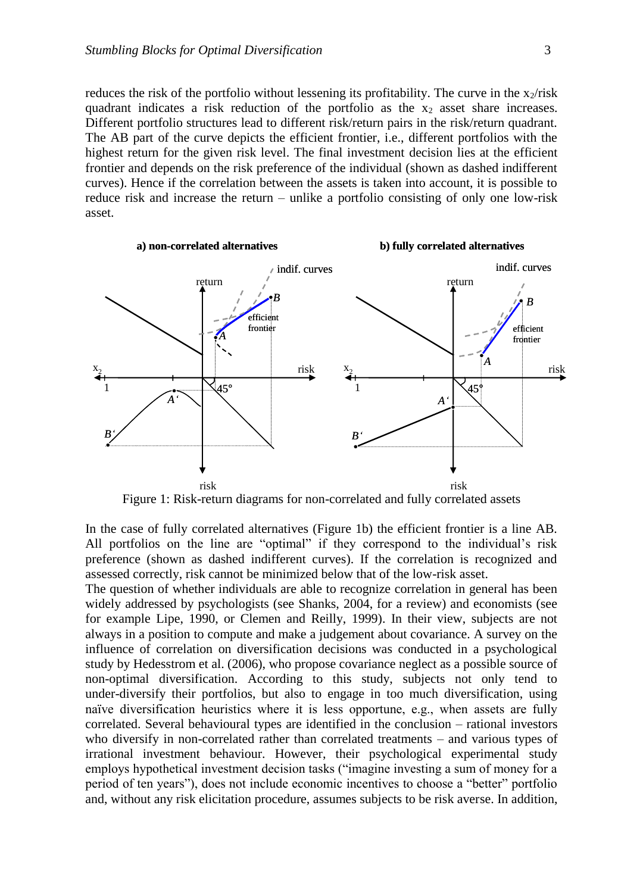reduces the risk of the portfolio without lessening its profitability. The curve in the  $x_2/risk$ quadrant indicates a risk reduction of the portfolio as the  $x_2$  asset share increases. Different portfolio structures lead to different risk/return pairs in the risk/return quadrant. The AB part of the curve depicts the efficient frontier, i.e., different portfolios with the highest return for the given risk level. The final investment decision lies at the efficient frontier and depends on the risk preference of the individual (shown as dashed indifferent curves). Hence if the correlation between the assets is taken into account, it is possible to reduce risk and increase the return – unlike a portfolio consisting of only one low-risk asset.



Figure 1: Risk-return diagrams for non-correlated and fully correlated assets

In the case of fully correlated alternatives (Figure 1b) the efficient frontier is a line AB. All portfolios on the line are "optimal" if they correspond to the individual's risk preference (shown as dashed indifferent curves). If the correlation is recognized and assessed correctly, risk cannot be minimized below that of the low-risk asset.

The question of whether individuals are able to recognize correlation in general has been widely addressed by psychologists (see Shanks, 2004, for a review) and economists (see for example Lipe, 1990, or Clemen and Reilly, 1999). In their view, subjects are not always in a position to compute and make a judgement about covariance. A survey on the influence of correlation on diversification decisions was conducted in a psychological study by Hedesstrom et al. (2006), who propose covariance neglect as a possible source of non-optimal diversification. According to this study, subjects not only tend to under-diversify their portfolios, but also to engage in too much diversification, using naïve diversification heuristics where it is less opportune, e.g., when assets are fully correlated. Several behavioural types are identified in the conclusion – rational investors who diversify in non-correlated rather than correlated treatments – and various types of irrational investment behaviour. However, their psychological experimental study employs hypothetical investment decision tasks ("imagine investing a sum of money for a period of ten years"), does not include economic incentives to choose a "better" portfolio and, without any risk elicitation procedure, assumes subjects to be risk averse. In addition,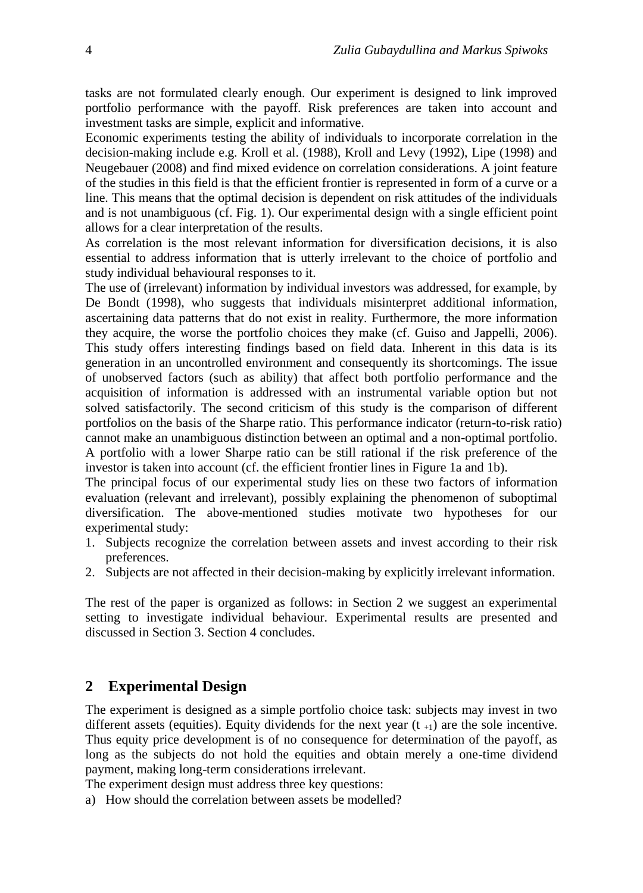tasks are not formulated clearly enough. Our experiment is designed to link improved portfolio performance with the payoff. Risk preferences are taken into account and investment tasks are simple, explicit and informative.

Economic experiments testing the ability of individuals to incorporate correlation in the decision-making include e.g. Kroll et al. (1988), Kroll and Levy (1992), Lipe (1998) and Neugebauer (2008) and find mixed evidence on correlation considerations. A joint feature of the studies in this field is that the efficient frontier is represented in form of a curve or a line. This means that the optimal decision is dependent on risk attitudes of the individuals and is not unambiguous (cf. Fig. 1). Our experimental design with a single efficient point allows for a clear interpretation of the results.

As correlation is the most relevant information for diversification decisions, it is also essential to address information that is utterly irrelevant to the choice of portfolio and study individual behavioural responses to it.

The use of (irrelevant) information by individual investors was addressed, for example, by De Bondt (1998), who suggests that individuals misinterpret additional information, ascertaining data patterns that do not exist in reality. Furthermore, the more information they acquire, the worse the portfolio choices they make (cf. Guiso and Jappelli, 2006). This study offers interesting findings based on field data. Inherent in this data is its generation in an uncontrolled environment and consequently its shortcomings. The issue of unobserved factors (such as ability) that affect both portfolio performance and the acquisition of information is addressed with an instrumental variable option but not solved satisfactorily. The second criticism of this study is the comparison of different portfolios on the basis of the Sharpe ratio. This performance indicator (return-to-risk ratio) cannot make an unambiguous distinction between an optimal and a non-optimal portfolio.

A portfolio with a lower Sharpe ratio can be still rational if the risk preference of the investor is taken into account (cf. the efficient frontier lines in Figure 1a and 1b).

The principal focus of our experimental study lies on these two factors of information evaluation (relevant and irrelevant), possibly explaining the phenomenon of suboptimal diversification. The above-mentioned studies motivate two hypotheses for our experimental study:

- 1. Subjects recognize the correlation between assets and invest according to their risk preferences.
- 2. Subjects are not affected in their decision-making by explicitly irrelevant information.

The rest of the paper is organized as follows: in Section 2 we suggest an experimental setting to investigate individual behaviour. Experimental results are presented and discussed in Section 3. Section 4 concludes.

#### **2 Experimental Design**

The experiment is designed as a simple portfolio choice task: subjects may invest in two different assets (equities). Equity dividends for the next year  $(t_{+1})$  are the sole incentive. Thus equity price development is of no consequence for determination of the payoff, as long as the subjects do not hold the equities and obtain merely a one-time dividend payment, making long-term considerations irrelevant.

The experiment design must address three key questions:

a) How should the correlation between assets be modelled?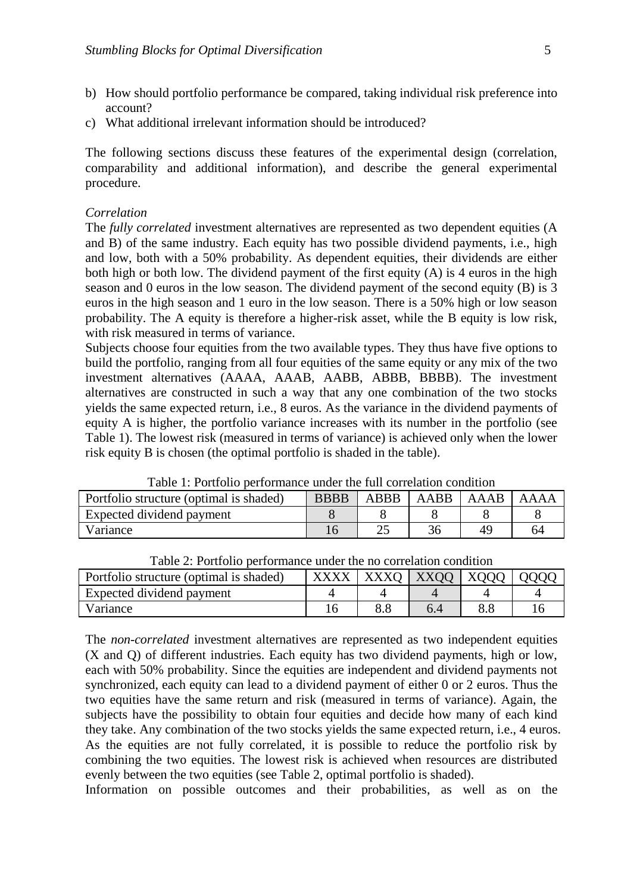- b) How should portfolio performance be compared, taking individual risk preference into account?
- c) What additional irrelevant information should be introduced?

The following sections discuss these features of the experimental design (correlation, comparability and additional information), and describe the general experimental procedure.

#### *Correlation*

The *fully correlated* investment alternatives are represented as two dependent equities (A and B) of the same industry. Each equity has two possible dividend payments, i.e., high and low, both with a 50% probability. As dependent equities, their dividends are either both high or both low. The dividend payment of the first equity  $(A)$  is 4 euros in the high season and 0 euros in the low season. The dividend payment of the second equity (B) is 3 euros in the high season and 1 euro in the low season. There is a 50% high or low season probability. The A equity is therefore a higher-risk asset, while the B equity is low risk, with risk measured in terms of variance.

Subjects choose four equities from the two available types. They thus have five options to build the portfolio, ranging from all four equities of the same equity or any mix of the two investment alternatives (AAAA, AAAB, AABB, ABBB, BBBB). The investment alternatives are constructed in such a way that any one combination of the two stocks yields the same expected return, i.e., 8 euros. As the variance in the dividend payments of equity A is higher, the portfolio variance increases with its number in the portfolio (see Table 1). The lowest risk (measured in terms of variance) is achieved only when the lower risk equity B is chosen (the optimal portfolio is shaded in the table).

| TAGIA TI TAINAND DATIAINING MIMAL NIA TMILAAININGIN AAHMIANDII |             |             |        |      |  |  |  |
|----------------------------------------------------------------|-------------|-------------|--------|------|--|--|--|
| Portfolio structure (optimal is shaded)                        | <b>BBBB</b> | <b>ABBB</b> | AABB 1 | AAAB |  |  |  |
| Expected dividend payment                                      |             |             |        |      |  |  |  |
| Variance                                                       |             |             |        |      |  |  |  |

Table 1: Portfolio performance under the full correlation condition

| I avic 2. I chrono performance under the no correlation condition |  |  |                                    |  |  |  |
|-------------------------------------------------------------------|--|--|------------------------------------|--|--|--|
| Portfolio structure (optimal is shaded)                           |  |  | $XXXX$   XXXQ   XXQQ   XQQQ   QQQQ |  |  |  |
| Expected dividend payment                                         |  |  |                                    |  |  |  |
| Variance                                                          |  |  |                                    |  |  |  |

Table 2: Portfolio performance under the no correlation condition

The *non-correlated* investment alternatives are represented as two independent equities (X and Q) of different industries. Each equity has two dividend payments, high or low, each with 50% probability. Since the equities are independent and dividend payments not synchronized, each equity can lead to a dividend payment of either 0 or 2 euros. Thus the two equities have the same return and risk (measured in terms of variance). Again, the subjects have the possibility to obtain four equities and decide how many of each kind they take. Any combination of the two stocks yields the same expected return, i.e., 4 euros. As the equities are not fully correlated, it is possible to reduce the portfolio risk by combining the two equities. The lowest risk is achieved when resources are distributed evenly between the two equities (see Table 2, optimal portfolio is shaded).

Information on possible outcomes and their probabilities, as well as on the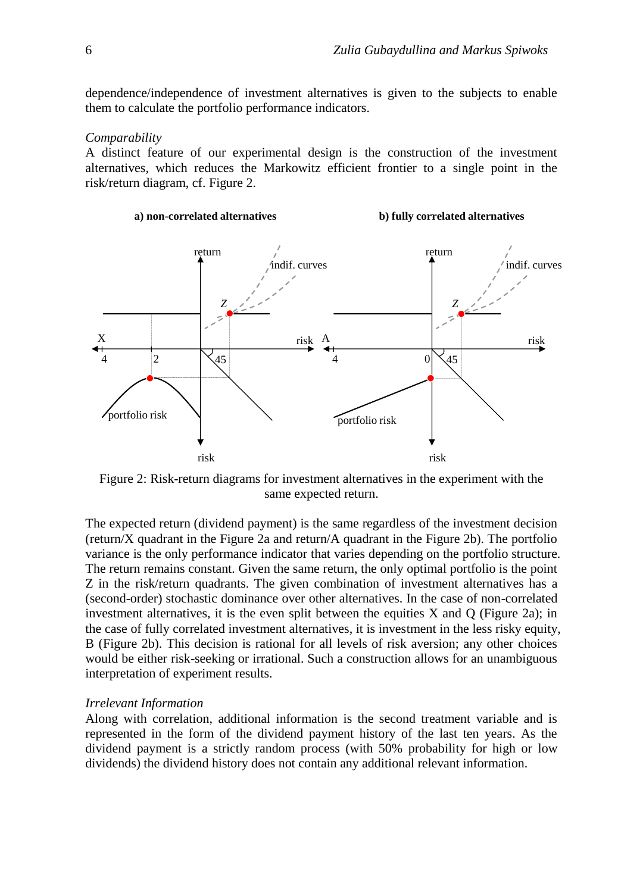dependence/independence of investment alternatives is given to the subjects to enable them to calculate the portfolio performance indicators.

#### *Comparability*

A distinct feature of our experimental design is the construction of the investment alternatives, which reduces the Markowitz efficient frontier to a single point in the risk/return diagram, cf. Figure 2.



Figure 2: Risk-return diagrams for investment alternatives in the experiment with the same expected return.

The expected return (dividend payment) is the same regardless of the investment decision (return/X quadrant in the Figure 2a and return/A quadrant in the Figure 2b). The portfolio variance is the only performance indicator that varies depending on the portfolio structure. The return remains constant. Given the same return, the only optimal portfolio is the point Z in the risk/return quadrants. The given combination of investment alternatives has a (second-order) stochastic dominance over other alternatives. In the case of non-correlated investment alternatives, it is the even split between the equities  $X$  and  $Q$  (Figure 2a); in the case of fully correlated investment alternatives, it is investment in the less risky equity, B (Figure 2b). This decision is rational for all levels of risk aversion; any other choices would be either risk-seeking or irrational. Such a construction allows for an unambiguous interpretation of experiment results.

#### *Irrelevant Information*

Along with correlation, additional information is the second treatment variable and is represented in the form of the dividend payment history of the last ten years. As the dividend payment is a strictly random process (with 50% probability for high or low dividends) the dividend history does not contain any additional relevant information.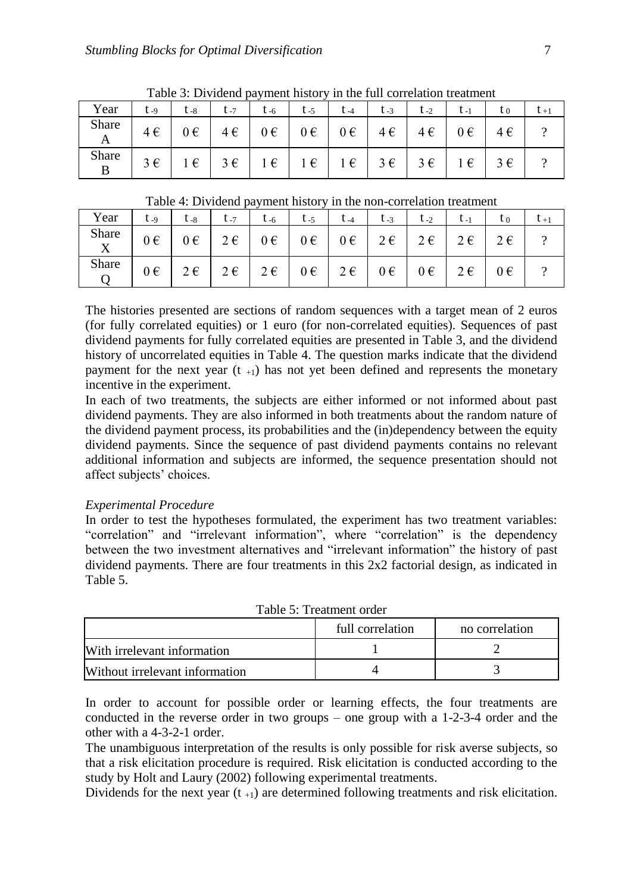|            |          | Table 5: Dividend payment motory in the full contention treatment |         |          |         |                    |                 |          |         |         |  |
|------------|----------|-------------------------------------------------------------------|---------|----------|---------|--------------------|-----------------|----------|---------|---------|--|
| Year       | $L_{-9}$ | $l - 8$                                                           | $L - 7$ | $L_{-6}$ | $L - 5$ | $L_{-4}$           | $L_{-3}$        | $t_{-2}$ | ւ - լ   | ι0      |  |
| Share<br>A | 4€       | 0€                                                                | 4€      | $0 \in$  | $0 \in$ | $0 \in \mathbb{R}$ | $4 \in \square$ | 4€       | $0 \in$ | $4 \in$ |  |
| Share      | $3 \in$  | $\epsilon$                                                        | $3 \in$ | $1 \in$  | 1€      | $1 \in$            | $3 \in$         | $3 \in$  | $1 \in$ | $3 \in$ |  |

Table 3: Dividend payment history in the full correlation treatment

Table 4: Dividend payment history in the non-correlation treatment

| Year  | $t_{-9}$ | $t_{-8}$     | $t - 7$      | $\tau$ -6          | $t_{-5}$ | $t_{-4}$                                                                                | $t_{-3}$                                   | $t_{-2}$ | $t_{-1}$           | $t_{0}$ |  |
|-------|----------|--------------|--------------|--------------------|----------|-----------------------------------------------------------------------------------------|--------------------------------------------|----------|--------------------|---------|--|
| Share | $0 \in$  | $0 \in$      |              |                    |          | $2 \epsilon$   $0 \epsilon$   $0 \epsilon$   $0 \epsilon$   $2 \epsilon$   $2 \epsilon$ |                                            |          | $2 \epsilon$       | $2 \in$ |  |
| Share | $0 \in$  | $2 \epsilon$ | $2 \epsilon$ | $2 \in \mathbb{R}$ | $0 \in$  |                                                                                         | $2 \epsilon$   $0 \epsilon$   $0 \epsilon$ |          | $2 \in \mathbb{R}$ | $0 \in$ |  |

The histories presented are sections of random sequences with a target mean of 2 euros (for fully correlated equities) or 1 euro (for non-correlated equities). Sequences of past dividend payments for fully correlated equities are presented in Table 3, and the dividend history of uncorrelated equities in Table 4. The question marks indicate that the dividend payment for the next year  $(t_{+1})$  has not yet been defined and represents the monetary incentive in the experiment.

In each of two treatments, the subjects are either informed or not informed about past dividend payments. They are also informed in both treatments about the random nature of the dividend payment process, its probabilities and the (in)dependency between the equity dividend payments. Since the sequence of past dividend payments contains no relevant additional information and subjects are informed, the sequence presentation should not affect subjects' choices.

#### *Experimental Procedure*

In order to test the hypotheses formulated, the experiment has two treatment variables: "correlation" and "irrelevant information", where "correlation" is the dependency between the two investment alternatives and "irrelevant information" the history of past dividend payments. There are four treatments in this 2x2 factorial design, as indicated in Table 5.

|                                | full correlation | no correlation |  |  |  |  |
|--------------------------------|------------------|----------------|--|--|--|--|
| With irrelevant information    |                  |                |  |  |  |  |
| Without irrelevant information |                  |                |  |  |  |  |

Table 5: Treatment order

In order to account for possible order or learning effects, the four treatments are conducted in the reverse order in two groups – one group with a 1-2-3-4 order and the other with a 4-3-2-1 order.

The unambiguous interpretation of the results is only possible for risk averse subjects, so that a risk elicitation procedure is required. Risk elicitation is conducted according to the study by Holt and Laury (2002) following experimental treatments.

Dividends for the next year  $(t_{+1})$  are determined following treatments and risk elicitation.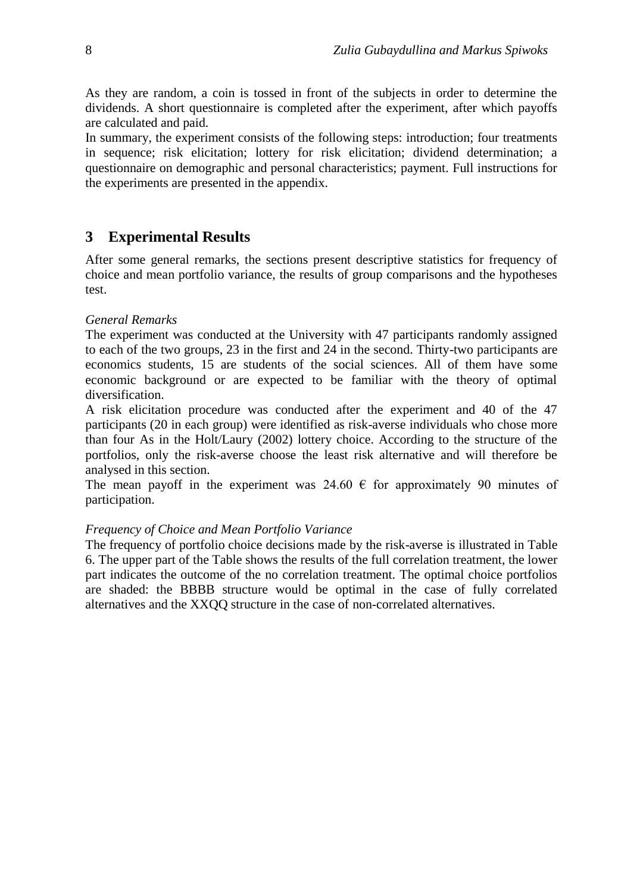As they are random, a coin is tossed in front of the subjects in order to determine the dividends. A short questionnaire is completed after the experiment, after which payoffs are calculated and paid.

In summary, the experiment consists of the following steps: introduction; four treatments in sequence; risk elicitation; lottery for risk elicitation; dividend determination; a questionnaire on demographic and personal characteristics; payment. Full instructions for the experiments are presented in the appendix.

# **3 Experimental Results**

After some general remarks, the sections present descriptive statistics for frequency of choice and mean portfolio variance, the results of group comparisons and the hypotheses test.

## *General Remarks*

The experiment was conducted at the University with 47 participants randomly assigned to each of the two groups, 23 in the first and 24 in the second. Thirty-two participants are economics students, 15 are students of the social sciences. All of them have some economic background or are expected to be familiar with the theory of optimal diversification.

A risk elicitation procedure was conducted after the experiment and 40 of the 47 participants (20 in each group) were identified as risk-averse individuals who chose more than four As in the Holt/Laury (2002) lottery choice. According to the structure of the portfolios, only the risk-averse choose the least risk alternative and will therefore be analysed in this section.

The mean payoff in the experiment was 24.60  $\epsilon$  for approximately 90 minutes of participation.

#### *Frequency of Choice and Mean Portfolio Variance*

The frequency of portfolio choice decisions made by the risk-averse is illustrated in Table 6. The upper part of the Table shows the results of the full correlation treatment, the lower part indicates the outcome of the no correlation treatment. The optimal choice portfolios are shaded: the BBBB structure would be optimal in the case of fully correlated alternatives and the XXQQ structure in the case of non-correlated alternatives.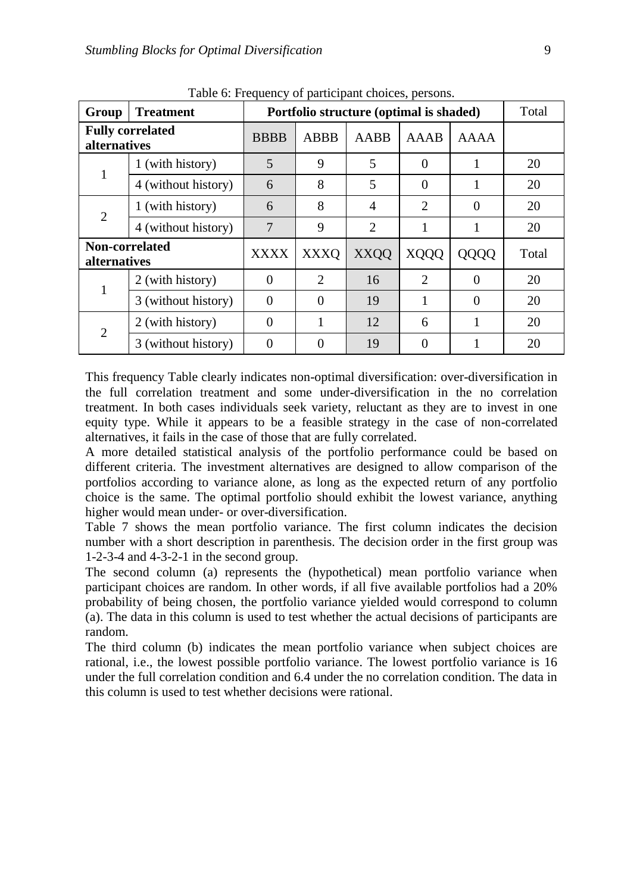| Group                                 | <b>Treatment</b>        |             | Portfolio structure (optimal is shaded) |                |             |          |       |  |
|---------------------------------------|-------------------------|-------------|-----------------------------------------|----------------|-------------|----------|-------|--|
| alternatives                          | <b>Fully correlated</b> | <b>BBBB</b> | <b>ABBB</b>                             | AABB           | AAAB        | AAAA     |       |  |
|                                       | 1 (with history)        | 5           | 9                                       | 5              | $\Omega$    |          | 20    |  |
|                                       | 4 (without history)     | 6           | 8                                       | 5              | 0           |          | 20    |  |
| 2                                     | 1 (with history)        | 6           | 8                                       | $\overline{4}$ | 2           | $\Omega$ | 20    |  |
|                                       | 4 (without history)     | 7           | 9                                       | 2              |             |          | 20    |  |
| Non-correlated<br><i>alternatives</i> |                         | <b>XXXX</b> | <b>XXXQ</b>                             | <b>XXQQ</b>    | <b>XQQQ</b> | QQQQ     | Total |  |
|                                       | 2 (with history)        | $\Omega$    | 2                                       | 16             | 2           | 0        | 20    |  |
|                                       | 3 (without history)     | $\Omega$    | $\Omega$                                | 19             |             | $\Omega$ | 20    |  |
|                                       | 2 (with history)        | $\Omega$    | 1                                       | 12             | 6           |          | 20    |  |
|                                       | 3 (without history)     | $\Omega$    |                                         | 19             | 0           |          | 20    |  |

Table 6: Frequency of participant choices, persons.

This frequency Table clearly indicates non-optimal diversification: over-diversification in the full correlation treatment and some under-diversification in the no correlation treatment. In both cases individuals seek variety, reluctant as they are to invest in one equity type. While it appears to be a feasible strategy in the case of non-correlated alternatives, it fails in the case of those that are fully correlated.

A more detailed statistical analysis of the portfolio performance could be based on different criteria. The investment alternatives are designed to allow comparison of the portfolios according to variance alone, as long as the expected return of any portfolio choice is the same. The optimal portfolio should exhibit the lowest variance, anything higher would mean under- or over-diversification.

Table 7 shows the mean portfolio variance. The first column indicates the decision number with a short description in parenthesis. The decision order in the first group was 1-2-3-4 and 4-3-2-1 in the second group.

The second column (a) represents the (hypothetical) mean portfolio variance when participant choices are random. In other words, if all five available portfolios had a 20% probability of being chosen, the portfolio variance yielded would correspond to column (a). The data in this column is used to test whether the actual decisions of participants are random.

The third column (b) indicates the mean portfolio variance when subject choices are rational, i.e., the lowest possible portfolio variance. The lowest portfolio variance is 16 under the full correlation condition and 6.4 under the no correlation condition. The data in this column is used to test whether decisions were rational.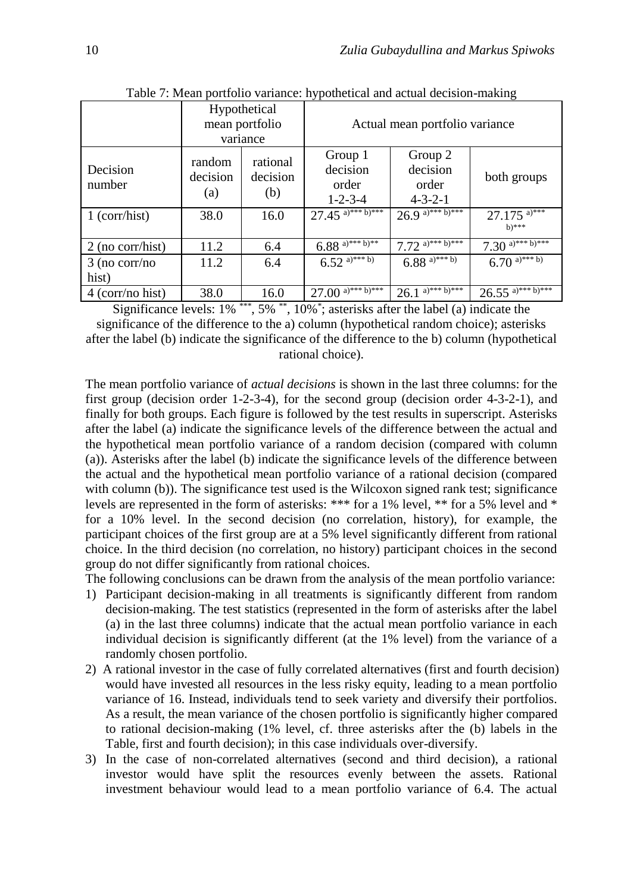|                          |                           | Hypothetical<br>mean portfolio<br>variance |                                                 | Actual mean portfolio variance                  |                                       |
|--------------------------|---------------------------|--------------------------------------------|-------------------------------------------------|-------------------------------------------------|---------------------------------------|
| Decision<br>number       | random<br>decision<br>(a) | rational<br>decision<br>(b)                | Group 1<br>decision<br>order<br>$1 - 2 - 3 - 4$ | Group 2<br>decision<br>order<br>$4 - 3 - 2 - 1$ | both groups                           |
| $1$ (corr/hist)          | 38.0                      | 16.0                                       | $27.45$ <sup>a)***b)***</sup>                   | $26.9^{a)***}$                                  | $27.175$ <sup>a)***</sup><br>$h)$ *** |
| $2$ (no corr/hist)       | 11.2                      | 6.4                                        | $6.88$ <sup>a)***b)**</sup>                     | 7.72 a)*** $\overline{b}$ )***                  | 7.30 a)*** $\overline{b}$ )***        |
| $3$ (no corr/no<br>hist) | 11.2                      | 6.4                                        | $6.52^{a}$ <sup>***</sup> b)                    | $6.88$ <sup>a)***b)</sup>                       | 6.70 a)*** b)                         |
| $4$ (corr/no hist)       | 38.0                      | 16.0                                       | $27.00$ <sup>a)***b)***</sup>                   | $26.1^{a)***b)***}$                             | $26.55$ <sup>a)***b)***</sup>         |

Table 7: Mean portfolio variance: hypothetical and actual decision-making

Significance levels: 1% \*\*\*, 5% \*\*, 10%\* ; asterisks after the label (a) indicate the significance of the difference to the a) column (hypothetical random choice); asterisks after the label (b) indicate the significance of the difference to the b) column (hypothetical rational choice).

The mean portfolio variance of *actual decisions* is shown in the last three columns: for the first group (decision order 1-2-3-4), for the second group (decision order 4-3-2-1), and finally for both groups. Each figure is followed by the test results in superscript. Asterisks after the label (a) indicate the significance levels of the difference between the actual and the hypothetical mean portfolio variance of a random decision (compared with column (a)). Asterisks after the label (b) indicate the significance levels of the difference between the actual and the hypothetical mean portfolio variance of a rational decision (compared with column (b)). The significance test used is the Wilcoxon signed rank test; significance levels are represented in the form of asterisks: \*\*\* for a 1% level, \*\* for a 5% level and \* for a 10% level. In the second decision (no correlation, history), for example, the participant choices of the first group are at a 5% level significantly different from rational choice. In the third decision (no correlation, no history) participant choices in the second group do not differ significantly from rational choices.

The following conclusions can be drawn from the analysis of the mean portfolio variance:

- 1) Participant decision-making in all treatments is significantly different from random decision-making. The test statistics (represented in the form of asterisks after the label (a) in the last three columns) indicate that the actual mean portfolio variance in each individual decision is significantly different (at the 1% level) from the variance of a randomly chosen portfolio.
- 2) A rational investor in the case of fully correlated alternatives (first and fourth decision) would have invested all resources in the less risky equity, leading to a mean portfolio variance of 16. Instead, individuals tend to seek variety and diversify their portfolios. As a result, the mean variance of the chosen portfolio is significantly higher compared to rational decision-making (1% level, cf. three asterisks after the (b) labels in the Table, first and fourth decision); in this case individuals over-diversify.
- 3) In the case of non-correlated alternatives (second and third decision), a rational investor would have split the resources evenly between the assets. Rational investment behaviour would lead to a mean portfolio variance of 6.4. The actual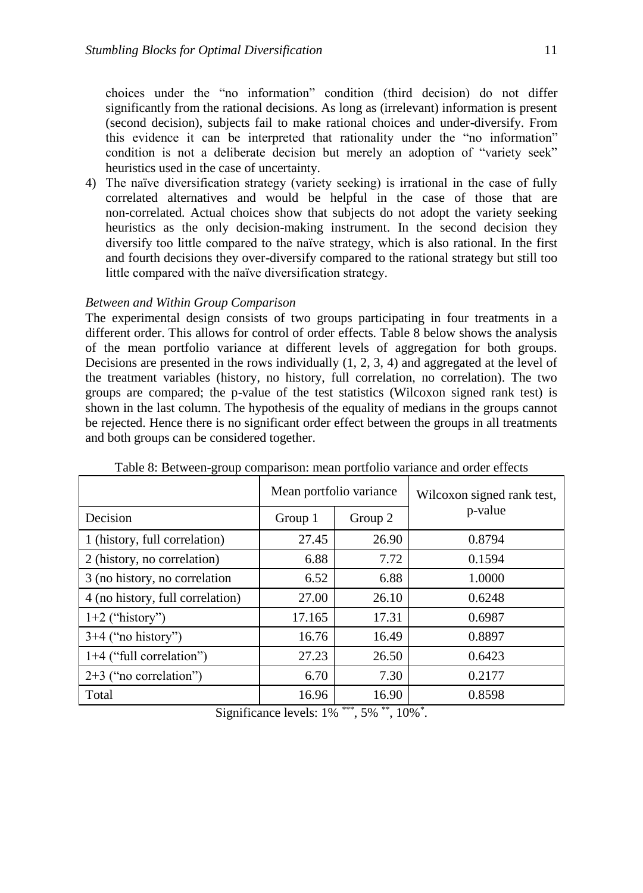4) The naïve diversification strategy (variety seeking) is irrational in the case of fully correlated alternatives and would be helpful in the case of those that are non-correlated. Actual choices show that subjects do not adopt the variety seeking heuristics as the only decision-making instrument. In the second decision they diversify too little compared to the naïve strategy, which is also rational. In the first and fourth decisions they over-diversify compared to the rational strategy but still too little compared with the naïve diversification strategy.

#### *Between and Within Group Comparison*

The experimental design consists of two groups participating in four treatments in a different order. This allows for control of order effects. Table 8 below shows the analysis of the mean portfolio variance at different levels of aggregation for both groups. Decisions are presented in the rows individually (1, 2, 3, 4) and aggregated at the level of the treatment variables (history, no history, full correlation, no correlation). The two groups are compared; the p-value of the test statistics (Wilcoxon signed rank test) is shown in the last column. The hypothesis of the equality of medians in the groups cannot be rejected. Hence there is no significant order effect between the groups in all treatments and both groups can be considered together.

|                                  | Mean portfolio variance |       | Wilcoxon signed rank test, |  |  |
|----------------------------------|-------------------------|-------|----------------------------|--|--|
| Decision                         | Group 1<br>Group 2      |       | p-value                    |  |  |
| 1 (history, full correlation)    | 27.45                   | 26.90 | 0.8794                     |  |  |
| 2 (history, no correlation)      | 6.88                    | 7.72  | 0.1594                     |  |  |
| 3 (no history, no correlation    | 6.52                    | 6.88  | 1.0000                     |  |  |
| 4 (no history, full correlation) | 27.00                   | 26.10 | 0.6248                     |  |  |
| $1+2$ ("history")                | 17.165                  | 17.31 | 0.6987                     |  |  |
| $3+4$ ("no history")             | 16.76                   | 16.49 | 0.8897                     |  |  |
| $1+4$ ("full correlation")       | 27.23                   | 26.50 | 0.6423                     |  |  |
| $2+3$ ("no correlation")         | 6.70                    | 7.30  | 0.2177                     |  |  |
| Total                            | 16.96                   | 16.90 | 0.8598                     |  |  |

Table 8: Between-group comparison: mean portfolio variance and order effects

Significance levels: 1% \*\*\*, 5% \*\*, 10%\*.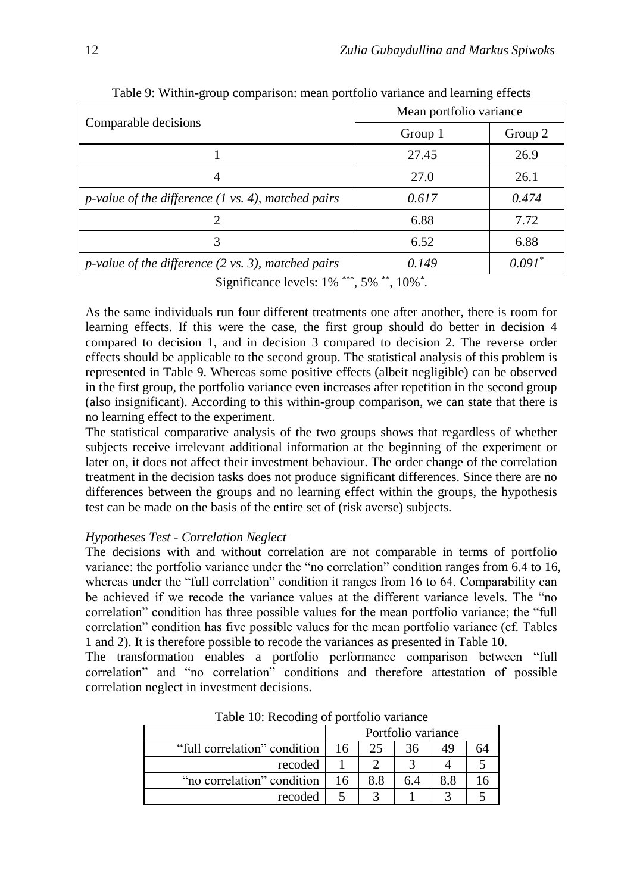|                                                                                         | Mean portfolio variance                     |             |  |  |
|-----------------------------------------------------------------------------------------|---------------------------------------------|-------------|--|--|
| Comparable decisions                                                                    | Group 1                                     | Group 2     |  |  |
|                                                                                         | 27.45                                       | 26.9        |  |  |
|                                                                                         | 27.0                                        | 26.1        |  |  |
| $p$ -value of the difference (1 vs. 4), matched pairs                                   | 0.617                                       | 0.474       |  |  |
|                                                                                         | 6.88                                        | 7.72        |  |  |
| 3                                                                                       | 6.52                                        | 6.88        |  |  |
| <i>p</i> -value of the difference $(2 \text{ vs. } 3)$ , matched pairs<br>about a chair | 0.149<br>all and the company of the company | $0.091^{*}$ |  |  |

Table 9: Within-group comparison: mean portfolio variance and learning effects

Significance levels: 1% \*\*\*, 5% \*\*, 10%\*.

As the same individuals run four different treatments one after another, there is room for learning effects. If this were the case, the first group should do better in decision 4 compared to decision 1, and in decision 3 compared to decision 2. The reverse order effects should be applicable to the second group. The statistical analysis of this problem is represented in Table 9. Whereas some positive effects (albeit negligible) can be observed in the first group, the portfolio variance even increases after repetition in the second group (also insignificant). According to this within-group comparison, we can state that there is no learning effect to the experiment.

The statistical comparative analysis of the two groups shows that regardless of whether subjects receive irrelevant additional information at the beginning of the experiment or later on, it does not affect their investment behaviour. The order change of the correlation treatment in the decision tasks does not produce significant differences. Since there are no differences between the groups and no learning effect within the groups, the hypothesis test can be made on the basis of the entire set of (risk averse) subjects.

#### *Hypotheses Test - Correlation Neglect*

The decisions with and without correlation are not comparable in terms of portfolio variance: the portfolio variance under the "no correlation" condition ranges from 6.4 to 16, whereas under the "full correlation" condition it ranges from 16 to 64. Comparability can be achieved if we recode the variance values at the different variance levels. The "no correlation" condition has three possible values for the mean portfolio variance; the "full correlation" condition has five possible values for the mean portfolio variance (cf. Tables 1 and 2). It is therefore possible to recode the variances as presented in Table 10.

The transformation enables a portfolio performance comparison between "full correlation" and "no correlation" conditions and therefore attestation of possible correlation neglect in investment decisions.

|                              |    |        | Portfolio variance |     |  |
|------------------------------|----|--------|--------------------|-----|--|
| "full correlation" condition | 16 | 25     | 36                 | 49  |  |
| recoded                      |    | ി      |                    |     |  |
| "no correlation" condition   | 16 | 8.8    | 6.4                | 8.8 |  |
| recoded                      |    | $\sim$ |                    |     |  |

Table 10: Recoding of portfolio variance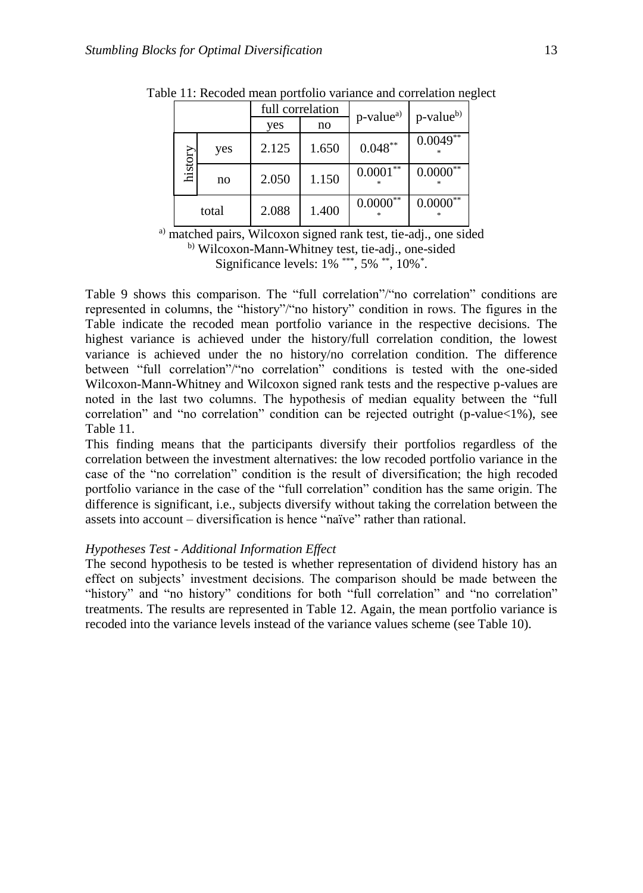|         |       | full correlation |       | p-value <sup>a)</sup> | p-value <sup>b)</sup> |  |
|---------|-------|------------------|-------|-----------------------|-----------------------|--|
|         |       | yes              | no    |                       |                       |  |
|         | yes   | 2.125            | 1.650 | $0.048**$             | $0.0049**$            |  |
| history | no    | 2.050            | 1.150 | $0.0001***$           | $0.0000^{**}$         |  |
|         | total | 2.088            | 1.400 | $0.0000$ **           | $0.0000^{**}$         |  |

Table 11: Recoded mean portfolio variance and correlation neglect

a) matched pairs, Wilcoxon signed rank test, tie-adj., one sided b) Wilcoxon-Mann-Whitney test, tie-adj., one-sided Significance levels: 1% \*\*\*, 5% \*\*, 10%<sup>\*</sup>.

Table 9 shows this comparison. The "full correlation"/"no correlation" conditions are represented in columns, the "history"/"no history" condition in rows. The figures in the Table indicate the recoded mean portfolio variance in the respective decisions. The highest variance is achieved under the history/full correlation condition, the lowest variance is achieved under the no history/no correlation condition. The difference between "full correlation"/"no correlation" conditions is tested with the one-sided Wilcoxon-Mann-Whitney and Wilcoxon signed rank tests and the respective p-values are noted in the last two columns. The hypothesis of median equality between the "full correlation" and "no correlation" condition can be rejected outright (p-value<1%), see Table 11.

This finding means that the participants diversify their portfolios regardless of the correlation between the investment alternatives: the low recoded portfolio variance in the case of the "no correlation" condition is the result of diversification; the high recoded portfolio variance in the case of the "full correlation" condition has the same origin. The difference is significant, i.e., subjects diversify without taking the correlation between the assets into account – diversification is hence "naïve" rather than rational.

#### *Hypotheses Test - Additional Information Effect*

The second hypothesis to be tested is whether representation of dividend history has an effect on subjects' investment decisions. The comparison should be made between the "history" and "no history" conditions for both "full correlation" and "no correlation" treatments. The results are represented in Table 12. Again, the mean portfolio variance is recoded into the variance levels instead of the variance values scheme (see Table 10).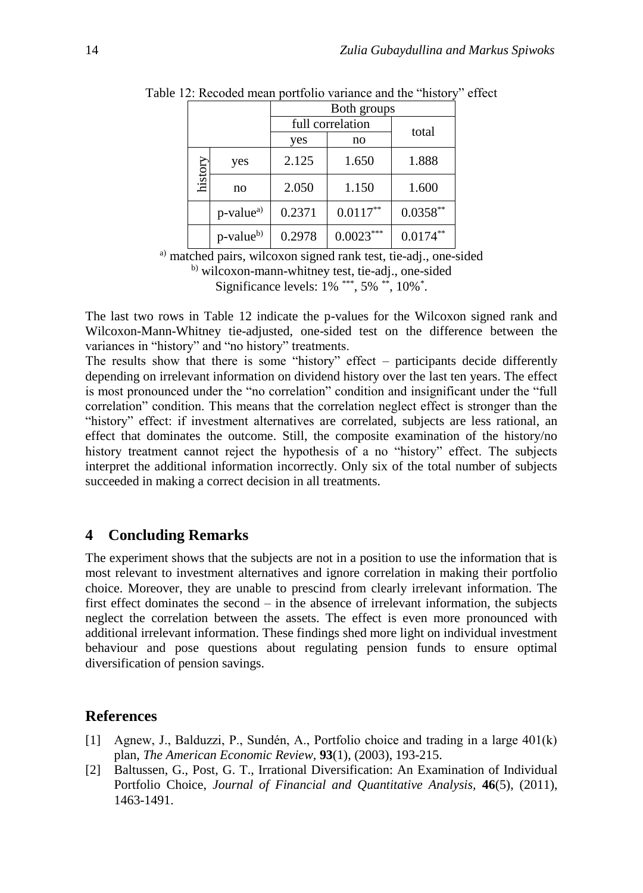|         |                       | Both groups |                  |            |  |  |
|---------|-----------------------|-------------|------------------|------------|--|--|
|         |                       |             | full correlation | total      |  |  |
|         |                       | yes         | no               |            |  |  |
|         | yes                   | 2.125       | 1.650            | 1.888      |  |  |
| history | no                    | 2.050       | 1.150            | 1.600      |  |  |
|         | p-value <sup>a)</sup> | 0.2371      | $0.0117**$       | $0.0358**$ |  |  |
|         | p-value <sup>b)</sup> | 0.2978      | $0.0023***$      | $0.0174**$ |  |  |

Table 12: Recoded mean portfolio variance and the "history" effect

a) matched pairs, wilcoxon signed rank test, tie-adj., one-sided b) wilcoxon-mann-whitney test, tie-adj., one-sided Significance levels: 1% \*\*\*, 5% \*\*, 10%\*.

The last two rows in Table 12 indicate the p-values for the Wilcoxon signed rank and Wilcoxon-Mann-Whitney tie-adjusted, one-sided test on the difference between the variances in "history" and "no history" treatments.

The results show that there is some "history" effect – participants decide differently depending on irrelevant information on dividend history over the last ten years. The effect is most pronounced under the "no correlation" condition and insignificant under the "full correlation" condition. This means that the correlation neglect effect is stronger than the "history" effect: if investment alternatives are correlated, subjects are less rational, an effect that dominates the outcome. Still, the composite examination of the history/no history treatment cannot reject the hypothesis of a no "history" effect. The subjects interpret the additional information incorrectly. Only six of the total number of subjects succeeded in making a correct decision in all treatments.

# **4 Concluding Remarks**

The experiment shows that the subjects are not in a position to use the information that is most relevant to investment alternatives and ignore correlation in making their portfolio choice. Moreover, they are unable to prescind from clearly irrelevant information. The first effect dominates the second – in the absence of irrelevant information, the subjects neglect the correlation between the assets. The effect is even more pronounced with additional irrelevant information. These findings shed more light on individual investment behaviour and pose questions about regulating pension funds to ensure optimal diversification of pension savings.

#### **References**

- [1] Agnew, J., Balduzzi, P., Sundén, A., Portfolio choice and trading in a large 401(k) plan, *The American Economic Review,* **93**(1), (2003), 193-215.
- [2] Baltussen, G., Post, G. T., Irrational Diversification: An Examination of Individual Portfolio Choice, *Journal of Financial and Quantitative Analysis,* **46**(5), (2011), 1463-1491.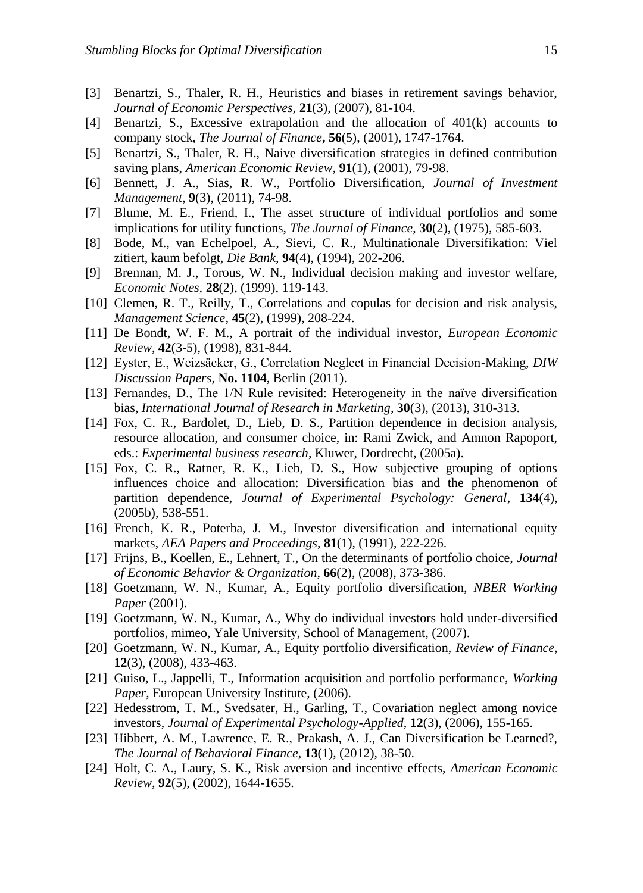- [3] Benartzi, S., Thaler, R. H., Heuristics and biases in retirement savings behavior, *Journal of Economic Perspectives,* **21**(3), (2007), 81-104.
- [4] Benartzi, S., Excessive extrapolation and the allocation of 401(k) accounts to company stock, *The Journal of Finance***, 56**(5), (2001), 1747-1764.
- [5] Benartzi, S., Thaler, R. H., Naive diversification strategies in defined contribution saving plans, *American Economic Review,* **91**(1), (2001), 79-98.
- [6] Bennett, J. A., Sias, R. W., Portfolio Diversification, *Journal of Investment Management*, **9**(3), (2011), 74-98.
- [7] Blume, M. E., Friend, I., The asset structure of individual portfolios and some implications for utility functions, *The Journal of Finance*, **30**(2), (1975), 585-603.
- [8] Bode, M., van Echelpoel, A., Sievi, C. R., Multinationale Diversifikation: Viel zitiert, kaum befolgt, *Die Bank*, **94**(4), (1994), 202-206.
- [9] Brennan, M. J., Torous, W. N., Individual decision making and investor welfare, *Economic Notes,* **28**(2), (1999), 119-143.
- [10] Clemen, R. T., Reilly, T., Correlations and copulas for decision and risk analysis, *Management Science*, **45**(2), (1999), 208-224.
- [11] De Bondt, W. F. M., A portrait of the individual investor, *European Economic Review*, **42**(3-5), (1998), 831-844.
- [12] Eyster, E., Weizsäcker, G., Correlation Neglect in Financial Decision-Making, *DIW Discussion Papers*, **No. 1104**, Berlin (2011).
- [13] Fernandes, D., The 1/N Rule revisited: Heterogeneity in the naïve diversification bias, *International Journal of Research in Marketing*, **30**(3), (2013), 310-313.
- [14] Fox, C. R., Bardolet, D., Lieb, D. S., Partition dependence in decision analysis, resource allocation, and consumer choice, in: Rami Zwick, and Amnon Rapoport, eds.: *Experimental business research*, Kluwer, Dordrecht, (2005a).
- [15] Fox, C. R., Ratner, R. K., Lieb, D. S., How subjective grouping of options influences choice and allocation: Diversification bias and the phenomenon of partition dependence, *Journal of Experimental Psychology: General*, **134**(4), (2005b), 538-551.
- [16] French, K. R., Poterba, J. M., Investor diversification and international equity markets, *AEA Papers and Proceedings*, **81**(1), (1991), 222-226.
- [17] Frijns, B., Koellen, E., Lehnert, T., On the determinants of portfolio choice, *Journal of Economic Behavior & Organization*, **66**(2), (2008), 373-386.
- [18] Goetzmann, W. N., Kumar, A., Equity portfolio diversification, *NBER Working Paper* (2001).
- [19] Goetzmann, W. N., Kumar, A., Why do individual investors hold under-diversified portfolios, mimeo, Yale University, School of Management, (2007).
- [20] Goetzmann, W. N., Kumar, A., Equity portfolio diversification, *Review of Finance*, **12**(3), (2008), 433-463.
- [21] Guiso, L., Jappelli, T., Information acquisition and portfolio performance, *Working Paper*, European University Institute, (2006).
- [22] Hedesstrom, T. M., Svedsater, H., Garling, T., Covariation neglect among novice investors, *Journal of Experimental Psychology-Applied*, **12**(3), (2006), 155-165.
- [23] Hibbert, A. M., Lawrence, E. R., Prakash, A. J., Can Diversification be Learned?, *The Journal of Behavioral Finance*, **13**(1), (2012), 38-50.
- [24] Holt, C. A., Laury, S. K., Risk aversion and incentive effects, *American Economic Review*, **92**(5), (2002), 1644-1655.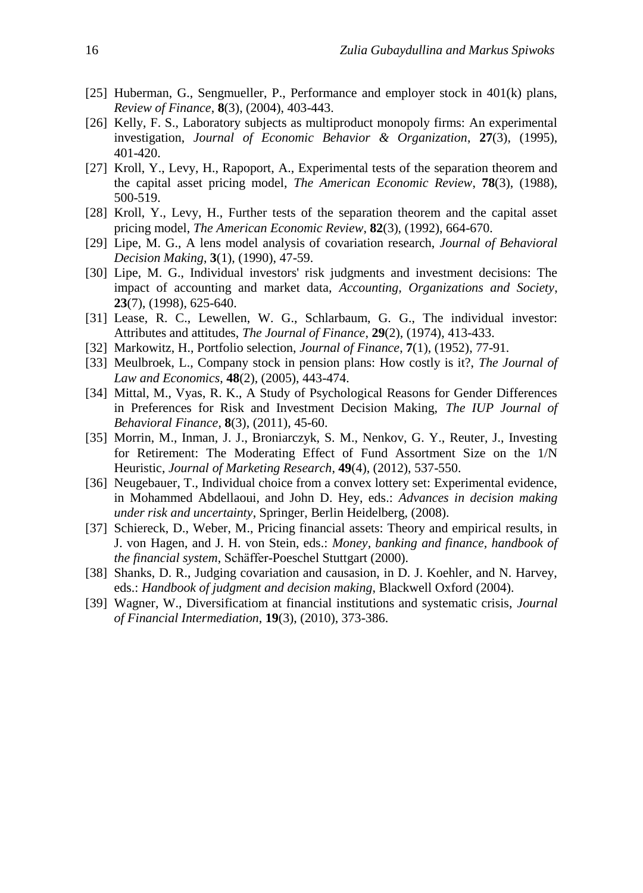- [25] Huberman, G., Sengmueller, P., Performance and employer stock in 401(k) plans, *Review of Finance*, **8**(3), (2004), 403-443.
- [26] Kelly, F. S., Laboratory subjects as multiproduct monopoly firms: An experimental investigation, *Journal of Economic Behavior & Organization*, **27**(3), (1995), 401-420.
- [27] Kroll, Y., Levy, H., Rapoport, A., Experimental tests of the separation theorem and the capital asset pricing model, *The American Economic Review*, **78**(3), (1988), 500-519.
- [28] Kroll, Y., Levy, H., Further tests of the separation theorem and the capital asset pricing model, *The American Economic Review*, **82**(3), (1992), 664-670.
- [29] Lipe, M. G., A lens model analysis of covariation research, *Journal of Behavioral Decision Making*, **3**(1), (1990), 47-59.
- [30] Lipe, M. G., Individual investors' risk judgments and investment decisions: The impact of accounting and market data, *Accounting, Organizations and Society*, **23**(7), (1998), 625-640.
- [31] Lease, R. C., Lewellen, W. G., Schlarbaum, G. G., The individual investor: Attributes and attitudes, *The Journal of Finance*, **29**(2), (1974), 413-433.
- [32] Markowitz, H., Portfolio selection, *Journal of Finance*, **7**(1), (1952), 77-91.
- [33] Meulbroek, L., Company stock in pension plans: How costly is it?, *The Journal of Law and Economics*, **48**(2), (2005), 443-474.
- [34] Mittal, M., Vyas, R. K., A Study of Psychological Reasons for Gender Differences in Preferences for Risk and Investment Decision Making, *The IUP Journal of Behavioral Finance*, **8**(3), (2011), 45-60.
- [35] Morrin, M., Inman, J. J., Broniarczyk, S. M., Nenkov, G. Y., Reuter, J., Investing for Retirement: The Moderating Effect of Fund Assortment Size on the 1/N Heuristic, *Journal of Marketing Research*, **49**(4), (2012), 537-550.
- [36] Neugebauer, T., Individual choice from a convex lottery set: Experimental evidence, in Mohammed Abdellaoui, and John D. Hey, eds.: *Advances in decision making under risk and uncertainty*, Springer, Berlin Heidelberg, (2008).
- [37] Schiereck, D., Weber, M., Pricing financial assets: Theory and empirical results, in J. von Hagen, and J. H. von Stein, eds.: *Money, banking and finance, handbook of the financial system*, Schäffer-Poeschel Stuttgart (2000).
- [38] Shanks, D. R., Judging covariation and causasion, in D. J. Koehler, and N. Harvey, eds.: *Handbook of judgment and decision making*, Blackwell Oxford (2004).
- [39] Wagner, W., Diversificatiom at financial institutions and systematic crisis, *Journal of Financial Intermediation*, **19**(3), (2010), 373-386.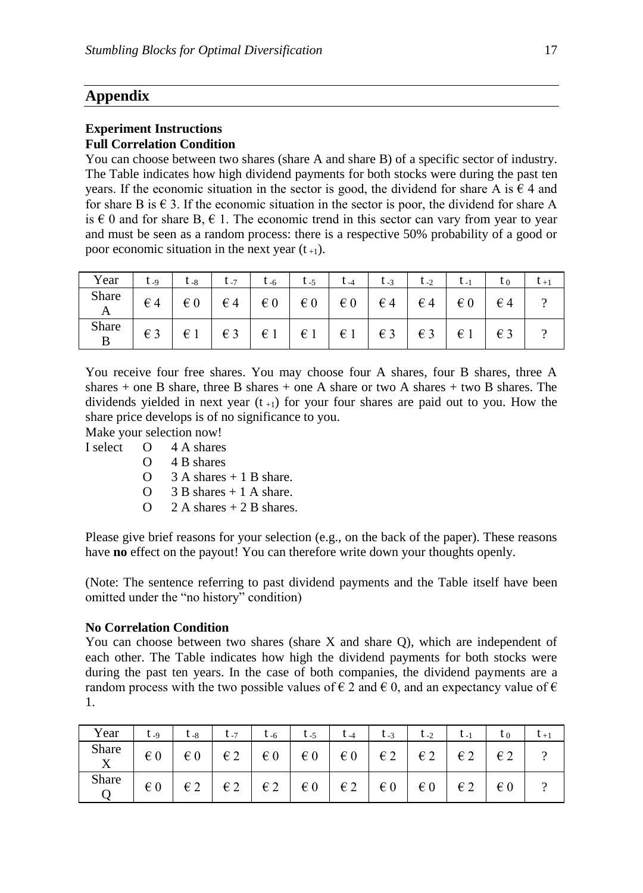poor economic situation in the next year  $(t_{+1})$ .

# **Appendix**

# **Experiment Instructions**

**Full Correlation Condition**  You can choose between two shares (share A and share B) of a specific sector of industry. The Table indicates how high dividend payments for both stocks were during the past ten years. If the economic situation in the sector is good, the dividend for share A is  $\epsilon$  4 and for share B is  $\epsilon$  3. If the economic situation in the sector is poor, the dividend for share A is  $\epsilon$  0 and for share B,  $\epsilon$  1. The economic trend in this sector can vary from year to year and must be seen as a random process: there is a respective 50% probability of a good or

#### Year t. q t.  $s$  t.  $\tau$  t.  $\tau$  t.  $\tau$  t.  $\tau$  t.  $\tau$  t.  $\tau$  t.  $\tau$  is t.  $\tau$  t.  $\tau$  t.  $\tau$  t.  $\tau$  t.  $\tau$  t.  $\tau$  t.  $\tau$  t.  $\tau$  t.  $\tau$  t.  $\tau$ Share A  $\epsilon$ 4 | $\epsilon$ 0 | $\epsilon$ 4 | $\epsilon$ 0 | $\epsilon$ 0 | $\epsilon$ 0 | $\epsilon$ 4 | $\epsilon$ 4 | $\epsilon$ 0 | $\epsilon$ 4 | $\epsilon$ Share B € 3 € 1 € 3 € 1 € 1 € 1 € 3 € 3 € 1 € 3 ?

You receive four free shares. You may choose four A shares, four B shares, three A shares  $+$  one B share, three B shares  $+$  one A share or two A shares  $+$  two B shares. The dividends yielded in next year  $(t_{+1})$  for your four shares are paid out to you. How the share price develops is of no significance to you.

Make your selection now!

I select O 4 A shares

- O 4 B shares
- $O \quad 3 A$  shares  $+ 1 B$  share.
- $O \quad 3 B$  shares  $+ 1 A$  share.
- $O$  2 A shares + 2 B shares.

Please give brief reasons for your selection (e.g., on the back of the paper). These reasons have **no** effect on the payout! You can therefore write down your thoughts openly.

(Note: The sentence referring to past dividend payments and the Table itself have been omitted under the "no history" condition)

#### **No Correlation Condition**

You can choose between two shares (share X and share Q), which are independent of each other. The Table indicates how high the dividend payments for both stocks were during the past ten years. In the case of both companies, the dividend payments are a random process with the two possible values of  $\epsilon$  2 and  $\epsilon$  0, and an expectancy value of  $\epsilon$ 1.

| Year  | $t_{-9}$     | U -8         | $L_{-7}$     | $t_{-6}$     | $t_{-5}$     |              | $t_{-3}$     | $t_{-2}$     |              |              |  |
|-------|--------------|--------------|--------------|--------------|--------------|--------------|--------------|--------------|--------------|--------------|--|
| Share | $\epsilon$ 0 | $\in 0$      | $\epsilon$ 2 | $\epsilon$ 0 | $\epsilon$ 0 | $\epsilon$ 0 | $\in$ 2      | $\epsilon$ 2 | $\epsilon$ 2 | $\epsilon$ 2 |  |
| Share | $\epsilon$ 0 | $\epsilon$ 2 | $\epsilon$ 2 | $\in$ 2      | $\epsilon$ 0 | $\epsilon$ 2 | $\epsilon$ 0 | $\epsilon$ 0 | $\epsilon$ 2 | $\epsilon$ 0 |  |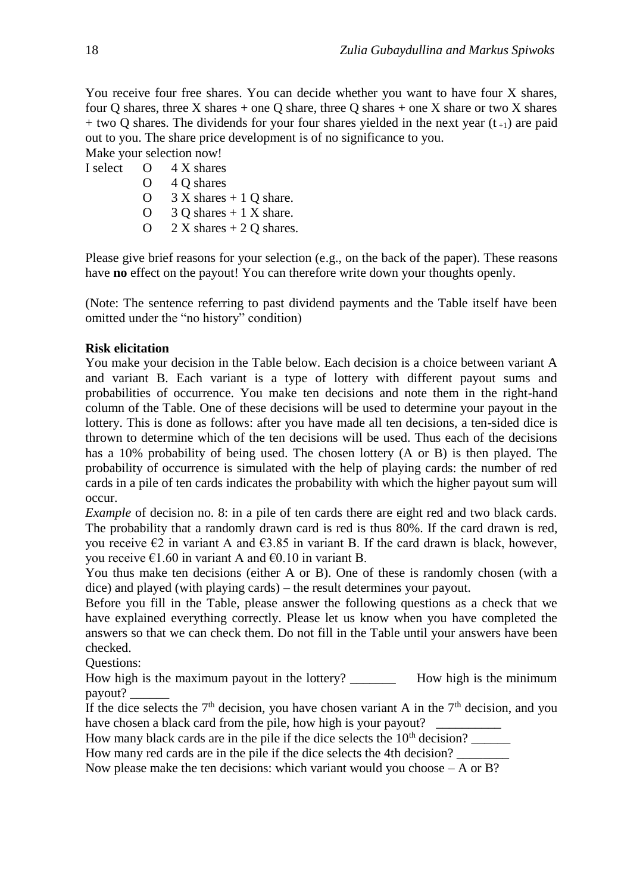You receive four free shares. You can decide whether you want to have four X shares, four Q shares, three X shares + one Q share, three Q shares + one X share or two X shares  $+$  two Q shares. The dividends for your four shares yielded in the next year (t<sub>+1</sub>) are paid out to you. The share price development is of no significance to you.

Make your selection now! I select O 4 X shares

- O 4 Q shares
- O  $3 X$  shares  $+ 1 Q$  share.
- O  $3$  Q shares  $+1$  X share.
- O  $2 X$  shares  $+ 2 Q$  shares.

Please give brief reasons for your selection (e.g., on the back of the paper). These reasons have **no** effect on the payout! You can therefore write down your thoughts openly.

(Note: The sentence referring to past dividend payments and the Table itself have been omitted under the "no history" condition)

## **Risk elicitation**

You make your decision in the Table below. Each decision is a choice between variant A and variant B. Each variant is a type of lottery with different payout sums and probabilities of occurrence. You make ten decisions and note them in the right-hand column of the Table. One of these decisions will be used to determine your payout in the lottery. This is done as follows: after you have made all ten decisions, a ten-sided dice is thrown to determine which of the ten decisions will be used. Thus each of the decisions has a 10% probability of being used. The chosen lottery (A or B) is then played. The probability of occurrence is simulated with the help of playing cards: the number of red cards in a pile of ten cards indicates the probability with which the higher payout sum will occur.

*Example* of decision no. 8: in a pile of ten cards there are eight red and two black cards. The probability that a randomly drawn card is red is thus 80%. If the card drawn is red, you receive  $\epsilon$ 2 in variant A and  $\epsilon$ 3.85 in variant B. If the card drawn is black, however, you receive  $\epsilon$ 1.60 in variant A and  $\epsilon$ 0.10 in variant B.

You thus make ten decisions (either A or B). One of these is randomly chosen (with a dice) and played (with playing cards) – the result determines your payout.

Before you fill in the Table, please answer the following questions as a check that we have explained everything correctly. Please let us know when you have completed the answers so that we can check them. Do not fill in the Table until your answers have been checked.

Questions:

How high is the maximum payout in the lottery? How high is the minimum payout? \_\_\_\_\_\_

If the dice selects the  $7<sup>th</sup>$  decision, you have chosen variant A in the  $7<sup>th</sup>$  decision, and you have chosen a black card from the pile, how high is your payout?

How many black cards are in the pile if the dice selects the  $10<sup>th</sup>$  decision?

How many red cards are in the pile if the dice selects the 4th decision?

Now please make the ten decisions: which variant would you choose  $-A$  or B?